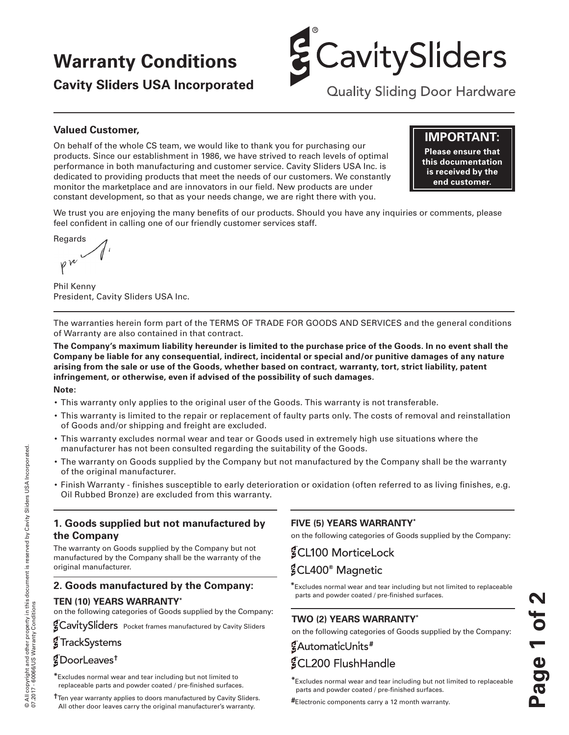# **Warranty Conditions**

**Cavity Sliders USA Incorporated**



**Quality Sliding Door Hardware** 

## **Valued Customer,**

On behalf of the whole CS team, we would like to thank you for purchasing our products. Since our establishment in 1986, we have strived to reach levels of optimal performance in both manufacturing and customer service. Cavity Sliders USA Inc. is dedicated to providing products that meet the needs of our customers. We constantly monitor the marketplace and are innovators in our field. New products are under constant development, so that as your needs change, we are right there with you.

# **IMPORTANT:**

**Please ensure that this documentation is received by the end customer.**

We trust you are enjoying the many benefits of our products. Should you have any inquiries or comments, please feel confident in calling one of our friendly customer services staff.

Regards  $\nu$ 

Phil Kenny President, Cavity Sliders USA Inc.

The warranties herein form part of the TERMS OF TRADE FOR GOODS AND SERVICES and the general conditions of Warranty are also contained in that contract.

**The Company's maximum liability hereunder is limited to the purchase price of the Goods. In no event shall the Company be liable for any consequential, indirect, incidental or special and/or punitive damages of any nature arising from the sale or use of the Goods, whether based on contract, warranty, tort, strict liability, patent infringement, or otherwise, even if advised of the possibility of such damages.**

#### **Note:**

© All copyright and other property in this document is reserved by Cavity Sliders USA Incorporated.

© All copyright and other property in this document is reserved by Cavity Sliders USA Incorporated.<br>07.2017 - 60066/US Warranty Conditions

07.2017 - 60066/US Warranty Conditions

- This warranty only applies to the original user of the Goods. This warranty is not transferable.
- This warranty is limited to the repair or replacement of faulty parts only. The costs of removal and reinstallation of Goods and/or shipping and freight are excluded.
- This warranty excludes normal wear and tear or Goods used in extremely high use situations where the manufacturer has not been consulted regarding the suitability of the Goods.
- The warranty on Goods supplied by the Company but not manufactured by the Company shall be the warranty of the original manufacturer.
- Finish Warranty finishes susceptible to early deterioration or oxidation (often referred to as living finishes, e.g. Oil Rubbed Bronze) are excluded from this warranty.

# **1. Goods supplied but not manufactured by the Company**

The warranty on Goods supplied by the Company but not manufactured by the Company shall be the warranty of the original manufacturer.

#### **2. Goods manufactured by the Company:**

#### **TEN (10) YEARS WARRANTY\***

on the following categories of Goods supplied by the Company:

**ECavitySliders** Pocket frames manufactured by Cavity Sliders

### **g**TrackSystems

# **†**

**\***Excludes normal wear and tear including but not limited to replaceable parts and powder coated / pre-finished surfaces.

**†**Ten year warranty applies to doors manufactured by Cavity Sliders. All other door leaves carry the original manufacturer's warranty.

# **FIVE (5) YEARS WARRANTY\***

on the following categories of Goods supplied by the Company:

**§CL100 MorticeLock §CL400<sup>®</sup> Magnetic** 

**\***Excludes normal wear and tear including but not limited to replaceable parts and powder coated / pre-finished surfaces.

# **TWO (2) YEARS WARRANTY\***

on the following categories of Goods supplied by the Company:

# **#** *§CL200 FlushHandle*

**\***Excludes normal wear and tear including but not limited to replaceable parts and powder coated / pre-finished surfaces.

**#**Electronic components carry a 12 month warranty.